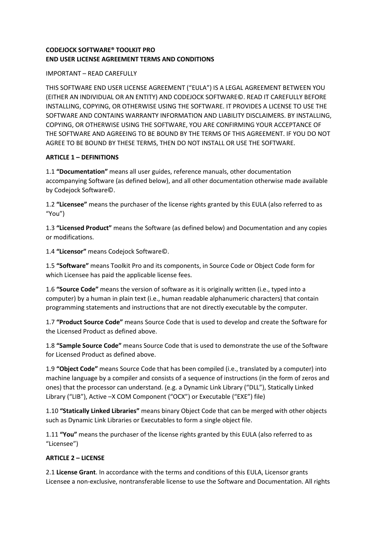## **CODEJOCK SOFTWARE® TOOLKIT PRO END USER LICENSE AGREEMENT TERMS AND CONDITIONS**

#### IMPORTANT – READ CAREFULLY

THIS SOFTWARE END USER LICENSE AGREEMENT ("EULA") IS A LEGAL AGREEMENT BETWEEN YOU (EITHER AN INDIVIDUAL OR AN ENTITY) AND CODEJOCK SOFTWARE©. READ IT CAREFULLY BEFORE INSTALLING, COPYING, OR OTHERWISE USING THE SOFTWARE. IT PROVIDES A LICENSE TO USE THE SOFTWARE AND CONTAINS WARRANTY INFORMATION AND LIABILITY DISCLAIMERS. BY INSTALLING, COPYING, OR OTHERWISE USING THE SOFTWARE, YOU ARE CONFIRMING YOUR ACCEPTANCE OF THE SOFTWARE AND AGREEING TO BE BOUND BY THE TERMS OF THIS AGREEMENT. IF YOU DO NOT AGREE TO BE BOUND BY THESE TERMS, THEN DO NOT INSTALL OR USE THE SOFTWARE.

### **ARTICLE 1 – DEFINITIONS**

1.1 **"Documentation"** means all user guides, reference manuals, other documentation accompanying Software (as defined below), and all other documentation otherwise made available by Codejock Software©.

1.2 **"Licensee"** means the purchaser of the license rights granted by this EULA (also referred to as "You")

1.3 **"Licensed Product"** means the Software (as defined below) and Documentation and any copies or modifications.

1.4 **"Licensor"** means Codejock Software©.

1.5 **"Software"** means Toolkit Pro and its components, in Source Code or Object Code form for which Licensee has paid the applicable license fees.

1.6 **"Source Code"** means the version of software as it is originally written (i.e., typed into a computer) by a human in plain text (i.e., human readable alphanumeric characters) that contain programming statements and instructions that are not directly executable by the computer.

1.7 **"Product Source Code"** means Source Code that is used to develop and create the Software for the Licensed Product as defined above.

1.8 **"Sample Source Code"** means Source Code that is used to demonstrate the use of the Software for Licensed Product as defined above.

1.9 **"Object Code"** means Source Code that has been compiled (i.e., translated by a computer) into machine language by a compiler and consists of a sequence of instructions (in the form of zeros and ones) that the processor can understand. (e.g. a Dynamic Link Library ("DLL"), Statically Linked Library ("LIB"), Active –X COM Component ("OCX") or Executable ("EXE") file)

1.10 **"Statically Linked Libraries"** means binary Object Code that can be merged with other objects such as Dynamic Link Libraries or Executables to form a single object file.

1.11 **"You"** means the purchaser of the license rights granted by this EULA (also referred to as "Licensee")

### **ARTICLE 2 – LICENSE**

2.1 **License Grant**. In accordance with the terms and conditions of this EULA, Licensor grants Licensee a non-exclusive, nontransferable license to use the Software and Documentation. All rights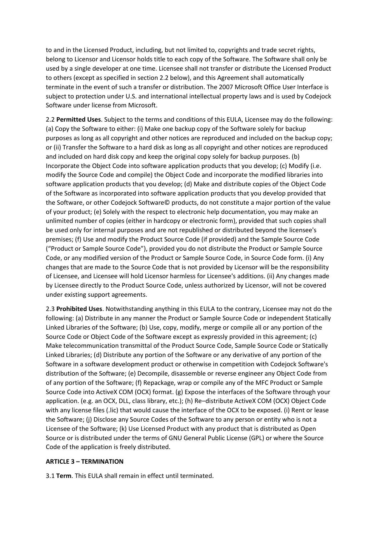to and in the Licensed Product, including, but not limited to, copyrights and trade secret rights, belong to Licensor and Licensor holds title to each copy of the Software. The Software shall only be used by a single developer at one time. Licensee shall not transfer or distribute the Licensed Product to others (except as specified in section 2.2 below), and this Agreement shall automatically terminate in the event of such a transfer or distribution. The 2007 Microsoft Office User Interface is subject to protection under U.S. and international intellectual property laws and is used by Codejock Software under license from Microsoft.

2.2 **Permitted Uses**. Subject to the terms and conditions of this EULA, Licensee may do the following: (a) Copy the Software to either: (i) Make one backup copy of the Software solely for backup purposes as long as all copyright and other notices are reproduced and included on the backup copy; or (ii) Transfer the Software to a hard disk as long as all copyright and other notices are reproduced and included on hard disk copy and keep the original copy solely for backup purposes. (b) Incorporate the Object Code into software application products that you develop; (c) Modify (i.e. modify the Source Code and compile) the Object Code and incorporate the modified libraries into software application products that you develop; (d) Make and distribute copies of the Object Code of the Software as incorporated into software application products that you develop provided that the Software, or other Codejock Software© products, do not constitute a major portion of the value of your product; (e) Solely with the respect to electronic help documentation, you may make an unlimited number of copies (either in hardcopy or electronic form), provided that such copies shall be used only for internal purposes and are not republished or distributed beyond the licensee's premises; (f) Use and modify the Product Source Code (if provided) and the Sample Source Code ("Product or Sample Source Code"), provided you do not distribute the Product or Sample Source Code, or any modified version of the Product or Sample Source Code, in Source Code form. (i) Any changes that are made to the Source Code that is not provided by Licensor will be the responsibility of Licensee, and Licensee will hold Licensor harmless for Licensee's additions. (ii) Any changes made by Licensee directly to the Product Source Code, unless authorized by Licensor, will not be covered under existing support agreements.

2.3 **Prohibited Uses**. Notwithstanding anything in this EULA to the contrary, Licensee may not do the following: (a) Distribute in any manner the Product or Sample Source Code or independent Statically Linked Libraries of the Software; (b) Use, copy, modify, merge or compile all or any portion of the Source Code or Object Code of the Software except as expressly provided in this agreement; (c) Make telecommunication transmittal of the Product Source Code, Sample Source Code or Statically Linked Libraries; (d) Distribute any portion of the Software or any derivative of any portion of the Software in a software development product or otherwise in competition with Codejock Software's distribution of the Software; (e) Decompile, disassemble or reverse engineer any Object Code from of any portion of the Software; (f) Repackage, wrap or compile any of the MFC Product or Sample Source Code into ActiveX COM (OCX) format. (g) Expose the interfaces of the Software through your application. (e.g. an OCX, DLL, class library, etc.); (h) Re–distribute ActiveX COM (OCX) Object Code with any license files (.lic) that would cause the interface of the OCX to be exposed. (i) Rent or lease the Software; (j) Disclose any Source Codes of the Software to any person or entity who is not a Licensee of the Software; (k) Use Licensed Product with any product that is distributed as Open Source or is distributed under the terms of GNU General Public License (GPL) or where the Source Code of the application is freely distributed.

#### **ARTICLE 3 – TERMINATION**

3.1 **Term**. This EULA shall remain in effect until terminated.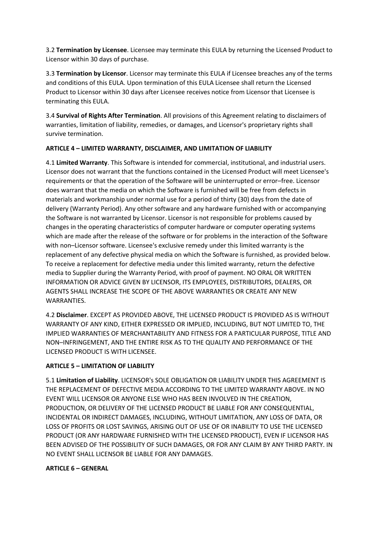3.2 **Termination by Licensee**. Licensee may terminate this EULA by returning the Licensed Product to Licensor within 30 days of purchase.

3.3 **Termination by Licensor**. Licensor may terminate this EULA if Licensee breaches any of the terms and conditions of this EULA. Upon termination of this EULA Licensee shall return the Licensed Product to Licensor within 30 days after Licensee receives notice from Licensor that Licensee is terminating this EULA.

3.4 **Survival of Rights After Termination**. All provisions of this Agreement relating to disclaimers of warranties, limitation of liability, remedies, or damages, and Licensor's proprietary rights shall survive termination.

## **ARTICLE 4 – LIMITED WARRANTY, DISCLAIMER, AND LIMITATION OF LIABILITY**

4.1 **Limited Warranty**. This Software is intended for commercial, institutional, and industrial users. Licensor does not warrant that the functions contained in the Licensed Product will meet Licensee's requirements or that the operation of the Software will be uninterrupted or error–free. Licensor does warrant that the media on which the Software is furnished will be free from defects in materials and workmanship under normal use for a period of thirty (30) days from the date of delivery (Warranty Period). Any other software and any hardware furnished with or accompanying the Software is not warranted by Licensor. Licensor is not responsible for problems caused by changes in the operating characteristics of computer hardware or computer operating systems which are made after the release of the software or for problems in the interaction of the Software with non–Licensor software. Licensee's exclusive remedy under this limited warranty is the replacement of any defective physical media on which the Software is furnished, as provided below. To receive a replacement for defective media under this limited warranty, return the defective media to Supplier during the Warranty Period, with proof of payment. NO ORAL OR WRITTEN INFORMATION OR ADVICE GIVEN BY LICENSOR, ITS EMPLOYEES, DISTRIBUTORS, DEALERS, OR AGENTS SHALL INCREASE THE SCOPE OF THE ABOVE WARRANTIES OR CREATE ANY NEW WARRANTIES.

4.2 **Disclaimer**. EXCEPT AS PROVIDED ABOVE, THE LICENSED PRODUCT IS PROVIDED AS IS WITHOUT WARRANTY OF ANY KIND, EITHER EXPRESSED OR IMPLIED, INCLUDING, BUT NOT LIMITED TO, THE IMPLIED WARRANTIES OF MERCHANTABILITY AND FITNESS FOR A PARTICULAR PURPOSE, TITLE AND NON–INFRINGEMENT, AND THE ENTIRE RISK AS TO THE QUALITY AND PERFORMANCE OF THE LICENSED PRODUCT IS WITH LICENSEE.

# **ARTICLE 5 – LIMITATION OF LIABILITY**

5.1 **Limitation of Liability**. LICENSOR's SOLE OBLIGATION OR LIABILITY UNDER THIS AGREEMENT IS THE REPLACEMENT OF DEFECTIVE MEDIA ACCORDING TO THE LIMITED WARRANTY ABOVE. IN NO EVENT WILL LICENSOR OR ANYONE ELSE WHO HAS BEEN INVOLVED IN THE CREATION, PRODUCTION, OR DELIVERY OF THE LICENSED PRODUCT BE LIABLE FOR ANY CONSEQUENTIAL, INCIDENTAL OR INDIRECT DAMAGES, INCLUDING, WITHOUT LIMITATION, ANY LOSS OF DATA, OR LOSS OF PROFITS OR LOST SAVINGS, ARISING OUT OF USE OF OR INABILITY TO USE THE LICENSED PRODUCT (OR ANY HARDWARE FURNISHED WITH THE LICENSED PRODUCT), EVEN IF LICENSOR HAS BEEN ADVISED OF THE POSSIBILITY OF SUCH DAMAGES, OR FOR ANY CLAIM BY ANY THIRD PARTY. IN NO EVENT SHALL LICENSOR BE LIABLE FOR ANY DAMAGES.

# **ARTICLE 6 – GENERAL**